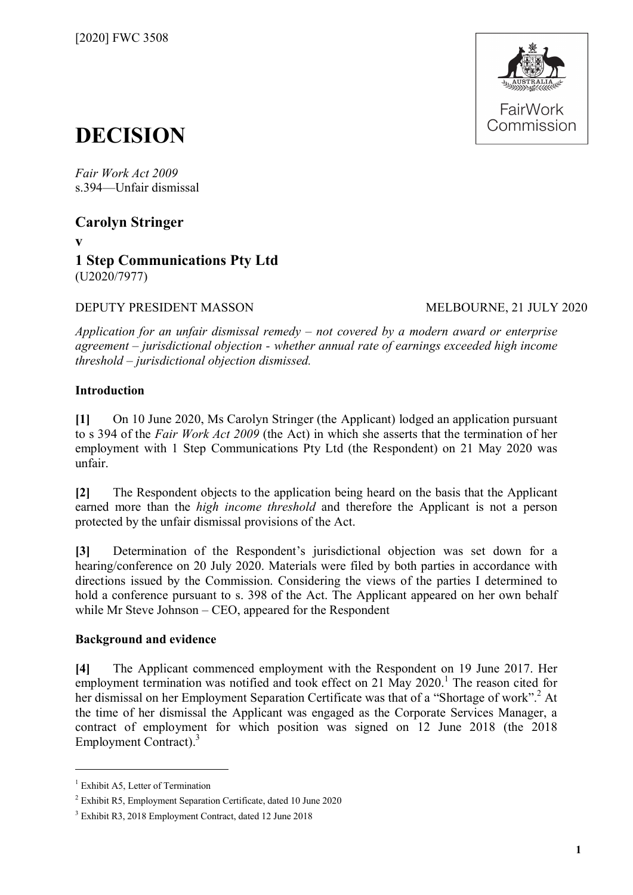

# **DECISION**

*Fair Work Act 2009*  s.394—Unfair dismissal

**Carolyn Stringer**

**v**

# **1 Step Communications Pty Ltd** (U2020/7977)

DEPUTY PRESIDENT MASSON MELBOURNE, 21 JULY 2020

*Application for an unfair dismissal remedy – not covered by a modern award or enterprise agreement – jurisdictional objection - whether annual rate of earnings exceeded high income threshold – jurisdictional objection dismissed.*

# **Introduction**

**[1]** On 10 June 2020, Ms Carolyn Stringer (the Applicant) lodged an application pursuant to s 394 of the *Fair Work Act 2009* (the Act) in which she asserts that the termination of her employment with 1 Step Communications Pty Ltd (the Respondent) on 21 May 2020 was unfair.

**[2]** The Respondent objects to the application being heard on the basis that the Applicant earned more than the *high income threshold* and therefore the Applicant is not a person protected by the unfair dismissal provisions of the Act.

**[3]** Determination of the Respondent's jurisdictional objection was set down for a hearing/conference on 20 July 2020. Materials were filed by both parties in accordance with directions issued by the Commission. Considering the views of the parties I determined to hold a conference pursuant to s. 398 of the Act. The Applicant appeared on her own behalf while Mr Steve Johnson – CEO, appeared for the Respondent

# **Background and evidence**

**[4]** The Applicant commenced employment with the Respondent on 19 June 2017. Her employment termination was notified and took effect on 2[1](#page-0-0) May 2020.<sup>1</sup> The reason cited for her dismissal on her Employment Separation Certificate was that of a "Shortage of work".<sup>[2](#page-0-1)</sup> At the time of her dismissal the Applicant was engaged as the Corporate Services Manager, a contract of employment for which position was signed on 12 June 2018 (the 2018 Employment Contract).<sup>[3](#page-0-2)</sup>

 $\overline{a}$ 

<span id="page-0-0"></span> $<sup>1</sup>$  Exhibit A5, Letter of Termination</sup>

<span id="page-0-2"></span><span id="page-0-1"></span><sup>2</sup> Exhibit R5, Employment Separation Certificate, dated 10 June 2020

<sup>3</sup> Exhibit R3, 2018 Employment Contract, dated 12 June 2018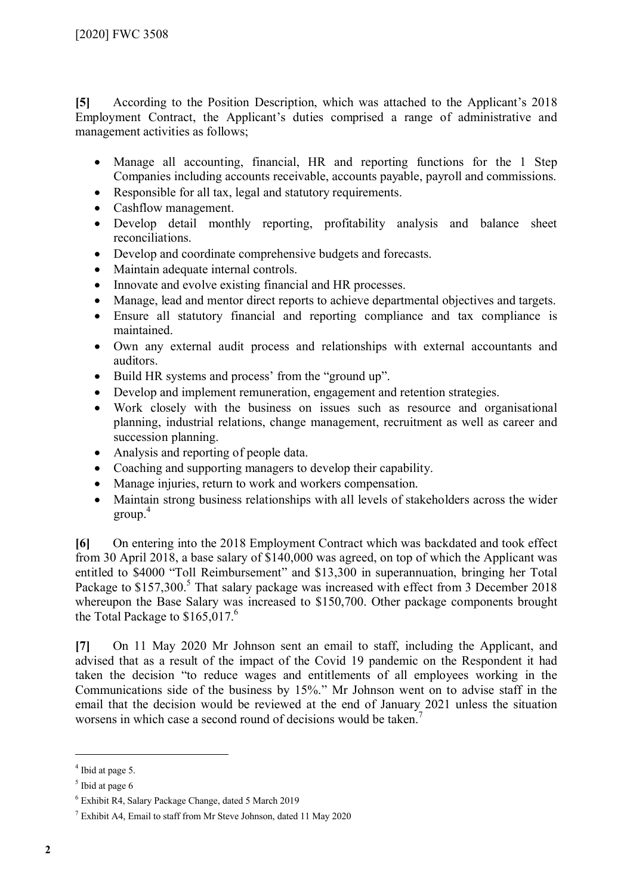**[5]** According to the Position Description, which was attached to the Applicant's 2018 Employment Contract, the Applicant's duties comprised a range of administrative and management activities as follows;

- Manage all accounting, financial, HR and reporting functions for the 1 Step Companies including accounts receivable, accounts payable, payroll and commissions.
- Responsible for all tax, legal and statutory requirements.
- Cashflow management.
- Develop detail monthly reporting, profitability analysis and balance sheet reconciliations.
- Develop and coordinate comprehensive budgets and forecasts.
- Maintain adequate internal controls.
- Innovate and evolve existing financial and HR processes.
- Manage, lead and mentor direct reports to achieve departmental objectives and targets.
- Ensure all statutory financial and reporting compliance and tax compliance is maintained.
- Own any external audit process and relationships with external accountants and auditors.
- Build HR systems and process' from the "ground up".
- Develop and implement remuneration, engagement and retention strategies.
- Work closely with the business on issues such as resource and organisational planning, industrial relations, change management, recruitment as well as career and succession planning.
- Analysis and reporting of people data.
- Coaching and supporting managers to develop their capability.
- Manage injuries, return to work and workers compensation.
- Maintain strong business relationships with all levels of stakeholders across the wider  $\text{group}^4$  $\text{group}^4$

**[6]** On entering into the 2018 Employment Contract which was backdated and took effect from 30 April 2018, a base salary of \$140,000 was agreed, on top of which the Applicant was entitled to \$4000 "Toll Reimbursement" and \$13,300 in superannuation, bringing her Total Package to \$1[5](#page-1-1)7,300.<sup>5</sup> That salary package was increased with effect from 3 December 2018 whereupon the Base Salary was increased to \$150,700. Other package components brought the Total Package to  $$165,017<sup>6</sup>$  $$165,017<sup>6</sup>$  $$165,017<sup>6</sup>$ 

**[7]** On 11 May 2020 Mr Johnson sent an email to staff, including the Applicant, and advised that as a result of the impact of the Covid 19 pandemic on the Respondent it had taken the decision "to reduce wages and entitlements of all employees working in the Communications side of the business by 15%." Mr Johnson went on to advise staff in the email that the decision would be reviewed at the end of January 2021 unless the situation worsens in which case a second round of decisions would be taken.<sup>[7](#page-1-3)</sup>

 $\overline{a}$ 

<span id="page-1-0"></span><sup>&</sup>lt;sup>4</sup> Ibid at page 5.

<span id="page-1-1"></span> $<sup>5</sup>$  Ibid at page 6</sup>

<span id="page-1-2"></span><sup>6</sup> Exhibit R4, Salary Package Change, dated 5 March 2019

<span id="page-1-3"></span> $^7$  Exhibit A4, Email to staff from Mr Steve Johnson, dated 11 May 2020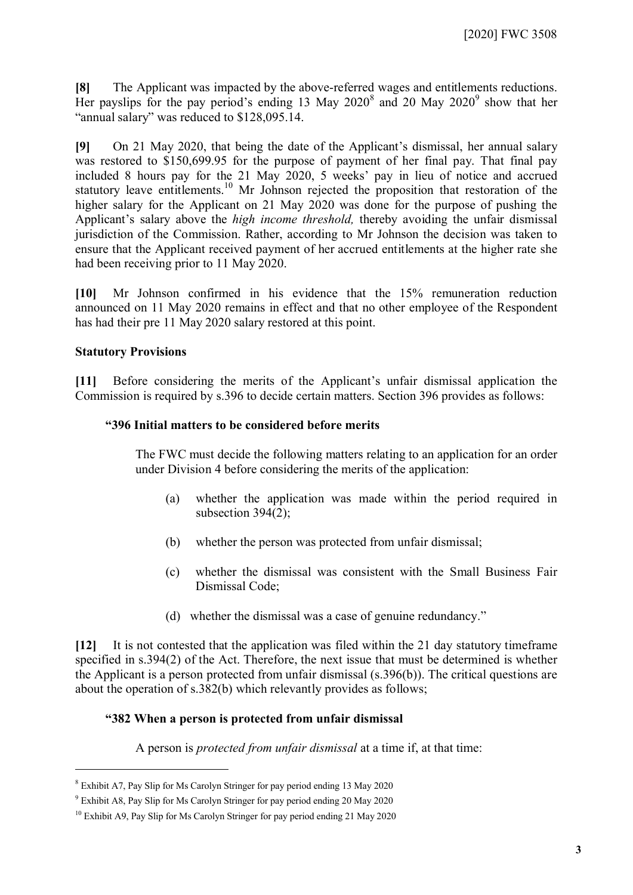**[8]** The Applicant was impacted by the above-referred wages and entitlements reductions. Her payslips for the pay period's ending 13 May  $2020<sup>8</sup>$  $2020<sup>8</sup>$  $2020<sup>8</sup>$  and 20 May  $2020<sup>9</sup>$  $2020<sup>9</sup>$  $2020<sup>9</sup>$  show that her "annual salary" was reduced to \$128,095.14.

**[9]** On 21 May 2020, that being the date of the Applicant's dismissal, her annual salary was restored to \$150,699.95 for the purpose of payment of her final pay. That final pay included 8 hours pay for the 21 May 2020, 5 weeks' pay in lieu of notice and accrued statutory leave entitlements.<sup>[10](#page-2-2)</sup> Mr Johnson rejected the proposition that restoration of the higher salary for the Applicant on 21 May 2020 was done for the purpose of pushing the Applicant's salary above the *high income threshold,* thereby avoiding the unfair dismissal jurisdiction of the Commission. Rather, according to Mr Johnson the decision was taken to ensure that the Applicant received payment of her accrued entitlements at the higher rate she had been receiving prior to 11 May 2020.

**[10]** Mr Johnson confirmed in his evidence that the 15% remuneration reduction announced on 11 May 2020 remains in effect and that no other employee of the Respondent has had their pre 11 May 2020 salary restored at this point.

#### **Statutory Provisions**

 $\overline{a}$ 

**[11]** Before considering the merits of the Applicant's unfair dismissal application the Commission is required by s.396 to decide certain matters. Section 396 provides as follows:

#### **"396 Initial matters to be considered before merits**

The FWC must decide the following matters relating to an application for an order under Division 4 before considering the merits of the application:

- (a) whether the application was made within the period required in subsection 394(2);
- (b) whether the person was protected from unfair dismissal;
- (c) whether the dismissal was consistent with the Small Business Fair Dismissal Code;
- (d) whether the dismissal was a case of genuine redundancy."

**[12]** It is not contested that the application was filed within the 21 day statutory timeframe specified in s.394(2) of the Act. Therefore, the next issue that must be determined is whether the Applicant is a person protected from unfair dismissal (s.396(b)). The critical questions are about the operation of s.382(b) which relevantly provides as follows;

#### **"382 When a person is protected from unfair dismissal**

A person is *protected from unfair dismissal* at a time if, at that time:

<span id="page-2-0"></span><sup>8</sup> Exhibit A7, Pay Slip for Ms Carolyn Stringer for pay period ending 13 May 2020

<span id="page-2-2"></span><span id="page-2-1"></span><sup>9</sup> Exhibit A8, Pay Slip for Ms Carolyn Stringer for pay period ending 20 May 2020

<sup>&</sup>lt;sup>10</sup> Exhibit A9, Pay Slip for Ms Carolyn Stringer for pay period ending 21 May 2020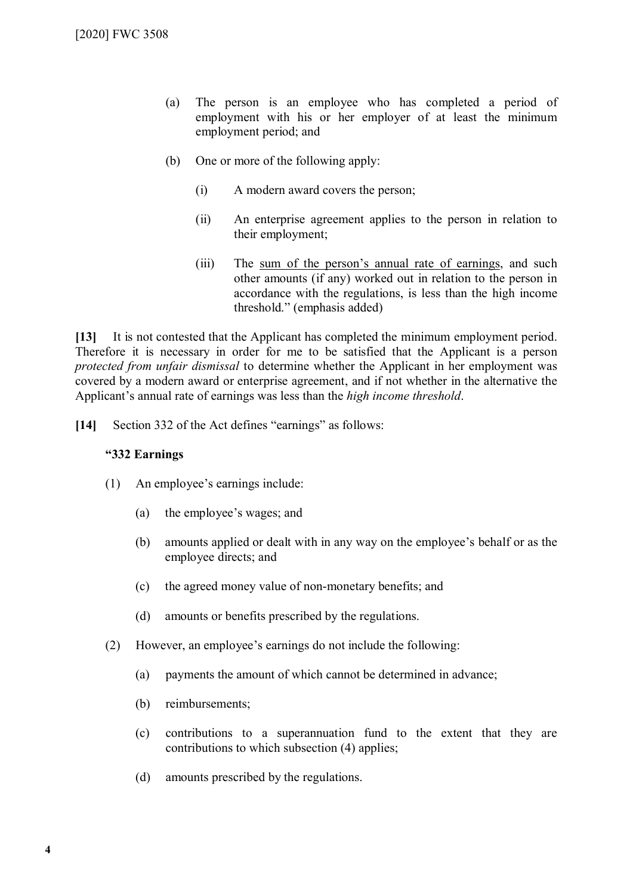- (a) The person is an employee who has completed a period of employment with his or her employer of at least the minimum employment period; and
- (b) One or more of the following apply:
	- (i) A modern award covers the person;
	- (ii) An enterprise agreement applies to the person in relation to their employment;
	- (iii) The sum of the person's annual rate of earnings, and such other amounts (if any) worked out in relation to the person in accordance with the regulations, is less than the high income threshold." (emphasis added)

**[13]** It is not contested that the Applicant has completed the minimum employment period. Therefore it is necessary in order for me to be satisfied that the Applicant is a person *protected from unfair dismissal* to determine whether the Applicant in her employment was covered by a modern award or enterprise agreement, and if not whether in the alternative the Applicant's annual rate of earnings was less than the *high income threshold*.

**[14]** Section 332 of the Act defines "earnings" as follows:

#### **"332 Earnings**

- (1) An employee's earnings include:
	- (a) the employee's wages; and
	- (b) amounts applied or dealt with in any way on the employee's behalf or as the employee directs; and
	- (c) the agreed money value of non-monetary benefits; and
	- (d) amounts or benefits prescribed by the regulations.
- (2) However, an employee's earnings do not include the following:
	- (a) payments the amount of which cannot be determined in advance;
	- (b) reimbursements;
	- (c) contributions to a superannuation fund to the extent that they are contributions to which subsection (4) applies;
	- (d) amounts prescribed by the regulations.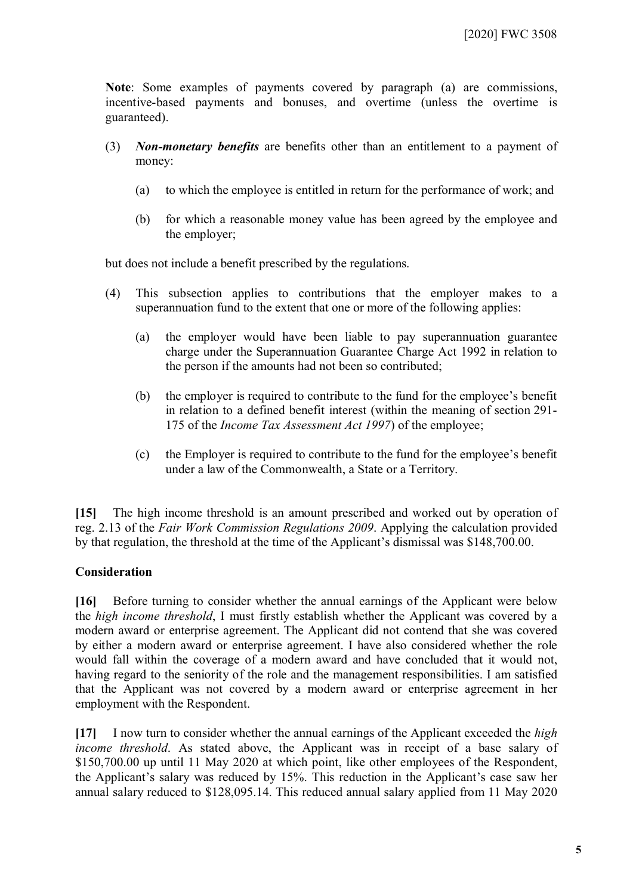**Note**: Some examples of payments covered by paragraph (a) are commissions, incentive-based payments and bonuses, and overtime (unless the overtime is guaranteed).

- (3) *Non-monetary benefits* are benefits other than an entitlement to a payment of money:
	- (a) to which the employee is entitled in return for the performance of work; and
	- (b) for which a reasonable money value has been agreed by the employee and the employer;

but does not include a benefit prescribed by the regulations.

- (4) This subsection applies to contributions that the employer makes to a superannuation fund to the extent that one or more of the following applies:
	- (a) the employer would have been liable to pay superannuation guarantee charge under the Superannuation Guarantee Charge Act 1992 in relation to the person if the amounts had not been so contributed;
	- (b) the employer is required to contribute to the fund for the employee's benefit in relation to a defined benefit interest (within the meaning of section 291- 175 of the *Income Tax Assessment Act 1997*) of the employee;
	- (c) the Employer is required to contribute to the fund for the employee's benefit under a law of the Commonwealth, a State or a Territory.

**[15]** The high income threshold is an amount prescribed and worked out by operation of reg. 2.13 of the *Fair Work Commission Regulations 2009*. Applying the calculation provided by that regulation, the threshold at the time of the Applicant's dismissal was \$148,700.00.

### **Consideration**

**[16]** Before turning to consider whether the annual earnings of the Applicant were below the *high income threshold*, I must firstly establish whether the Applicant was covered by a modern award or enterprise agreement. The Applicant did not contend that she was covered by either a modern award or enterprise agreement. I have also considered whether the role would fall within the coverage of a modern award and have concluded that it would not, having regard to the seniority of the role and the management responsibilities. I am satisfied that the Applicant was not covered by a modern award or enterprise agreement in her employment with the Respondent.

**[17]** I now turn to consider whether the annual earnings of the Applicant exceeded the *high income threshold*. As stated above, the Applicant was in receipt of a base salary of \$150,700.00 up until 11 May 2020 at which point, like other employees of the Respondent, the Applicant's salary was reduced by 15%. This reduction in the Applicant's case saw her annual salary reduced to \$128,095.14. This reduced annual salary applied from 11 May 2020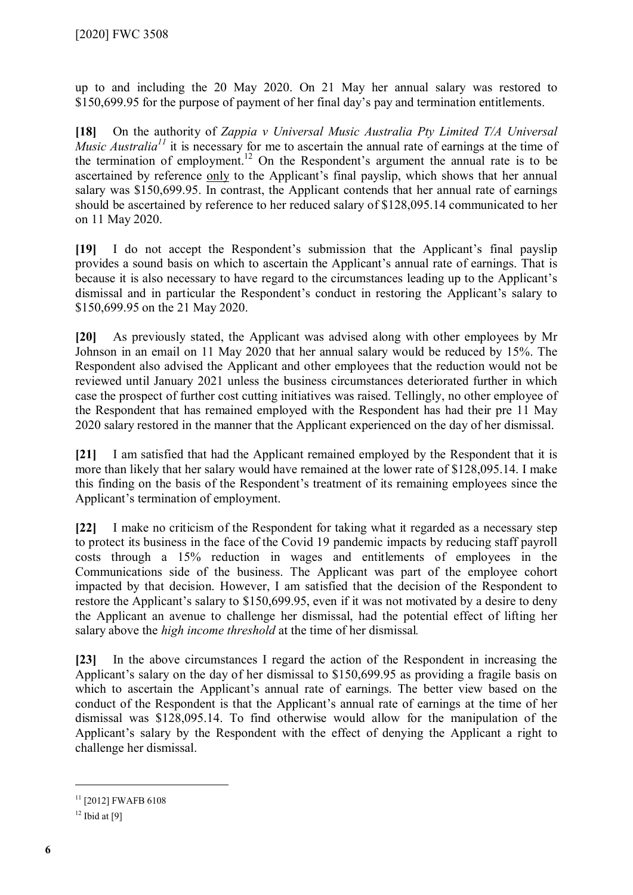up to and including the 20 May 2020. On 21 May her annual salary was restored to \$150,699.95 for the purpose of payment of her final day's pay and termination entitlements.

**[18]** On the authority of *Zappia v Universal Music Australia Pty Limited T/A Universal Music Australia*<sup>[11](#page-5-0)</sup> it is necessary for me to ascertain the annual rate of earnings at the time of the termination of employment.<sup>[12](#page-5-1)</sup> On the Respondent's argument the annual rate is to be ascertained by reference only to the Applicant's final payslip, which shows that her annual salary was \$150,699.95. In contrast, the Applicant contends that her annual rate of earnings should be ascertained by reference to her reduced salary of \$128,095.14 communicated to her on 11 May 2020.

**[19]** I do not accept the Respondent's submission that the Applicant's final payslip provides a sound basis on which to ascertain the Applicant's annual rate of earnings. That is because it is also necessary to have regard to the circumstances leading up to the Applicant's dismissal and in particular the Respondent's conduct in restoring the Applicant's salary to \$150,699.95 on the 21 May 2020.

**[20]** As previously stated, the Applicant was advised along with other employees by Mr Johnson in an email on 11 May 2020 that her annual salary would be reduced by 15%. The Respondent also advised the Applicant and other employees that the reduction would not be reviewed until January 2021 unless the business circumstances deteriorated further in which case the prospect of further cost cutting initiatives was raised. Tellingly, no other employee of the Respondent that has remained employed with the Respondent has had their pre 11 May 2020 salary restored in the manner that the Applicant experienced on the day of her dismissal.

**[21]** I am satisfied that had the Applicant remained employed by the Respondent that it is more than likely that her salary would have remained at the lower rate of \$128,095.14. I make this finding on the basis of the Respondent's treatment of its remaining employees since the Applicant's termination of employment.

**[22]** I make no criticism of the Respondent for taking what it regarded as a necessary step to protect its business in the face of the Covid 19 pandemic impacts by reducing staff payroll costs through a 15% reduction in wages and entitlements of employees in the Communications side of the business. The Applicant was part of the employee cohort impacted by that decision. However, I am satisfied that the decision of the Respondent to restore the Applicant's salary to \$150,699.95, even if it was not motivated by a desire to deny the Applicant an avenue to challenge her dismissal, had the potential effect of lifting her salary above the *high income threshold* at the time of her dismissal*.* 

**[23]** In the above circumstances I regard the action of the Respondent in increasing the Applicant's salary on the day of her dismissal to \$150,699.95 as providing a fragile basis on which to ascertain the Applicant's annual rate of earnings. The better view based on the conduct of the Respondent is that the Applicant's annual rate of earnings at the time of her dismissal was \$128,095.14. To find otherwise would allow for the manipulation of the Applicant's salary by the Respondent with the effect of denying the Applicant a right to challenge her dismissal.

<span id="page-5-0"></span><sup>&</sup>lt;sup>11</sup> [2012] FWAFB 6108

<span id="page-5-1"></span> $12$  Ibid at [9]